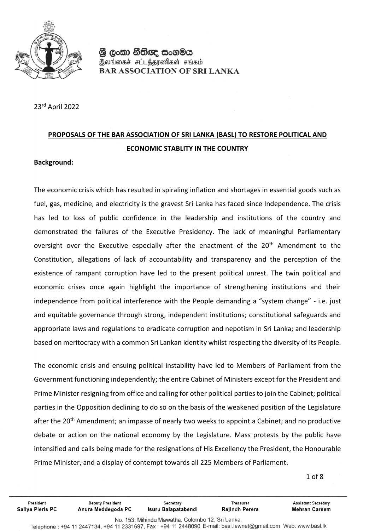

23rd April 2022

# **PROPOSALS OF THE BAR ASSOCIATION OF SRI LANKA (BASL) TO RESTORE POLITICAL AND ECONOMIC STABLITY IN THE COUNTRY**

#### **Background:**

The economic crisis which has resulted in spiraling inflation and shortages in essential goods such as fuel, gas, medicine, and electricity is the gravest Sri Lanka has faced since Independence. The crisis has led to loss of public confidence in the leadership and institutions of the country and demonstrated the failures of the Executive Presidency. The lack of meaningful Parliamentary oversight over the Executive especially after the enactment of the 20<sup>th</sup> Amendment to the Constitution, allegations of lack of accountability and transparency and the perception of the existence of rampant corruption have led to the present political unrest. The twin political and economic crises once again highlight the importance of strengthening institutions and their independence from political interference with the People demanding a "system change" - i.e. just and equitable governance through strong, independent institutions; constitutional safeguards and appropriate laws and regulations to eradicate corruption and nepotism in Sri Lanka; and leadership based on meritocracy with a common Sri Lankan identity whilst respecting the diversity of its People.

The economic crisis and ensuing political instability have led to Members of Parliament from the Government functioning independently; the entire Cabinet of Ministers except for the President and Prime Minister resigning from office and calling for other political parties to join the Cabinet; political parties in the Opposition declining to do so on the basis of the weakened position of the Legislature after the 20<sup>th</sup> Amendment; an impasse of nearly two weeks to appoint a Cabinet; and no productive debate or action on the national economy by the Legislature. Mass protests by the public have intensified and calls being made for the resignations of His Excellency the President, the Honourable Prime Minister, and a display of contempt towards all 225 Members of Parliament.

1 of 8

 $\overline{1}$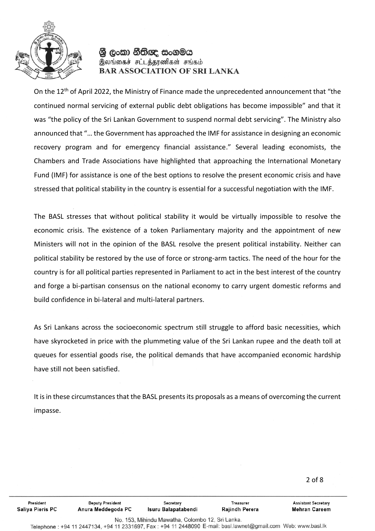

On the 12th of April 2022, the Ministry of Finance made the unprecedented announcement that "the continued normal servicing of external public debt obligations has become impossible" and that it was "the policy of the Sri Lankan Government to suspend normal debt servicing". The Ministry also announced that "… the Government has approached the IMF for assistance in designing an economic recovery program and for emergency financial assistance." Several leading economists, the Chambers and Trade Associations have highlighted that approaching the International Monetary Fund (IMF) for assistance is one of the best options to resolve the present economic crisis and have stressed that political stability in the country is essential for a successful negotiation with the IMF.

The BASL stresses that without political stability it would be virtually impossible to resolve the economic crisis. The existence of a token Parliamentary majority and the appointment of new Ministers will not in the opinion of the BASL resolve the present political instability. Neither can political stability be restored by the use of force or strong-arm tactics. The need of the hour for the country is for all political parties represented in Parliament to act in the best interest of the country and forge a bi-partisan consensus on the national economy to carry urgent domestic reforms and build confidence in bi-lateral and multi-lateral partners.

As Sri Lankans across the socioeconomic spectrum still struggle to afford basic necessities, which have skyrocketed in price with the plummeting value of the Sri Lankan rupee and the death toll at queues for essential goods rise, the political demands that have accompanied economic hardship have still not been satisfied.

It is in these circumstances that the BASL presents its proposals as a means of overcoming the current impasse.

2 of 8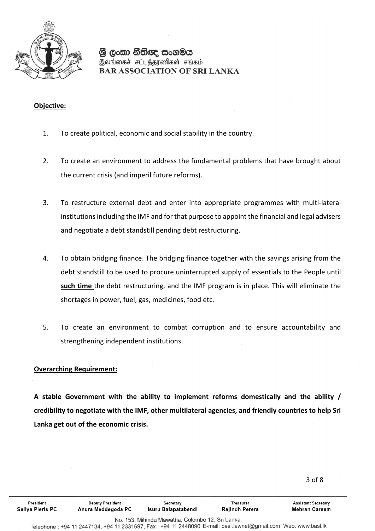

#### **Objective:**

- 1. To create political, economic and social stability in the country.
- 2. To create an environment to address the fundamental problems that have brought about the current crisis (and imperil future reforms).
- 3. To restructure external debt and enter into appropriate programmes with multi-lateral institutions including the IMF and for that purpose to appoint the financial and legal advisers and negotiate a debt standstill pending debt restructuring.
- 4. To obtain bridging finance. The bridging finance together with the savings arising from the debt standstill to be used to procure uninterrupted supply of essentials to the People until **such time** the debt restructuring, and the IMF program is in place. This will eliminate the shortages in power, fuel, gas, medicines, food etc.
- 5. To create an environment to combat corruption and to ensure accountability and strengthening independent institutions.

#### **Overarching Requirement:**

**A stable Government with the ability to implement reforms domestically and the ability / credibility to negotiate with the IMF, other multilateral agencies, and friendly countries to help Sri Lanka get out of the economic crisis.** 

3 of 8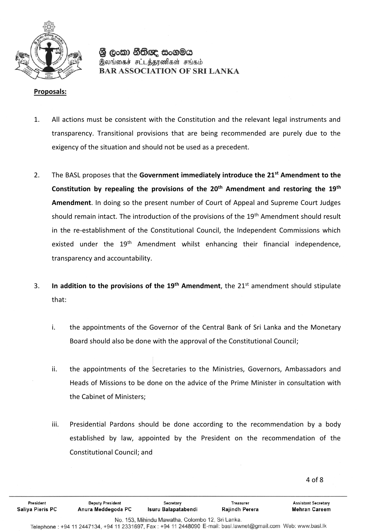

#### **Proposals:**

- 1. All actions must be consistent with the Constitution and the relevant legal instruments and transparency. Transitional provisions that are being recommended are purely due to the exigency of the situation and should not be used as a precedent.
- 2. The BASL proposes that the **Government immediately introduce the 21st Amendment to the Constitution by repealing the provisions of the 20th Amendment and restoring the 19th Amendment**. In doing so the present number of Court of Appeal and Supreme Court Judges should remain intact. The introduction of the provisions of the 19<sup>th</sup> Amendment should result in the re-establishment of the Constitutional Council, the Independent Commissions which existed under the 19<sup>th</sup> Amendment whilst enhancing their financial independence, transparency and accountability.
- 3. **In addition to the provisions of the 19th Amendment**, the 21st amendment should stipulate that:
	- i. the appointments of the Governor of the Central Bank of Sri Lanka and the Monetary Board should also be done with the approval of the Constitutional Council;
	- ii. the appointments of the Secretaries to the Ministries, Governors, Ambassadors and Heads of Missions to be done on the advice of the Prime Minister in consultation with the Cabinet of Ministers;
	- iii. Presidential Pardons should be done according to the recommendation by a body established by law, appointed by the President on the recommendation of the Constitutional Council; and

4 of 8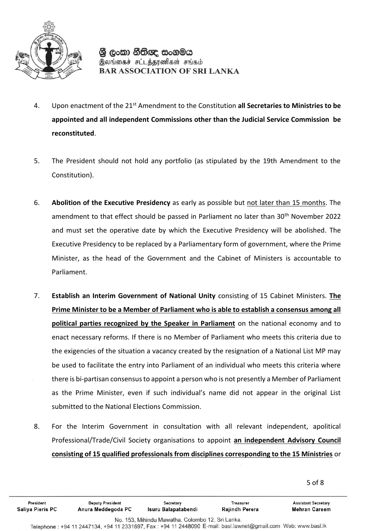

- 4. Upon enactment of the 21st Amendment to the Constitution **all Secretaries to Ministries to be appointed and all independent Commissions other than the Judicial Service Commission be reconstituted**.
- 5. The President should not hold any portfolio (as stipulated by the 19th Amendment to the Constitution).
- 6. **Abolition of the Executive Presidency** as early as possible but not later than 15 months. The amendment to that effect should be passed in Parliament no later than 30<sup>th</sup> November 2022 and must set the operative date by which the Executive Presidency will be abolished. The Executive Presidency to be replaced by a Parliamentary form of government, where the Prime Minister, as the head of the Government and the Cabinet of Ministers is accountable to Parliament.
- 7. **Establish an Interim Government of National Unity** consisting of 15 Cabinet Ministers. **The Prime Minister to be a Member of Parliament who is able to establish a consensus among all political parties recognized by the Speaker in Parliament** on the national economy and to enact necessary reforms. If there is no Member of Parliament who meets this criteria due to the exigencies of the situation a vacancy created by the resignation of a National List MP may be used to facilitate the entry into Parliament of an individual who meets this criteria where there is bi-partisan consensus to appoint a person who is not presently a Member of Parliament as the Prime Minister, even if such individual's name did not appear in the original List submitted to the National Elections Commission.
- 8. For the Interim Government in consultation with all relevant independent, apolitical Professional/Trade/Civil Society organisations to appoint **an independent Advisory Council consisting of 15 qualified professionals from disciplines corresponding to the 15 Ministries** or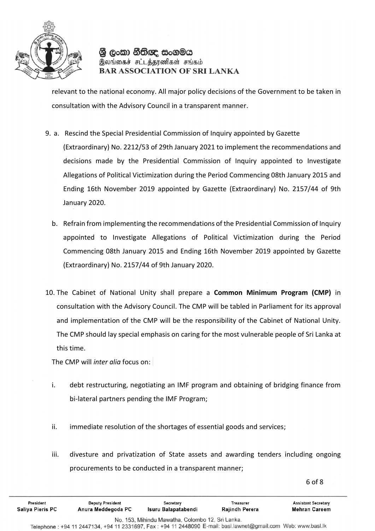

relevant to the national economy. All major policy decisions of the Government to be taken in consultation with the Advisory Council in a transparent manner.

9. a. Rescind the Special Presidential Commission of Inquiry appointed by Gazette

(Extraordinary) No. 2212/53 of 29th January 2021 to implement the recommendations and decisions made by the Presidential Commission of Inquiry appointed to Investigate Allegations of Political Victimization during the Period Commencing 08th January 2015 and Ending 16th November 2019 appointed by Gazette (Extraordinary) No. 2157/44 of 9th January 2020.

- b. Refrain from implementing the recommendations of the Presidential Commission of Inquiry appointed to Investigate Allegations of Political Victimization during the Period Commencing 08th January 2015 and Ending 16th November 2019 appointed by Gazette (Extraordinary) No. 2157/44 of 9th January 2020.
- 10. The Cabinet of National Unity shall prepare a **Common Minimum Program (CMP)** in consultation with the Advisory Council. The CMP will be tabled in Parliament for its approval and implementation of the CMP will be the responsibility of the Cabinet of National Unity. The CMP should lay special emphasis on caring for the most vulnerable people of Sri Lanka at this time.

The CMP will *inter alia* focus on:

- i. debt restructuring, negotiating an IMF program and obtaining of bridging finance from bi-lateral partners pending the IMF Program;
- ii. immediate resolution of the shortages of essential goods and services;
- iii. divesture and privatization of State assets and awarding tenders including ongoing procurements to be conducted in a transparent manner;

6 of 8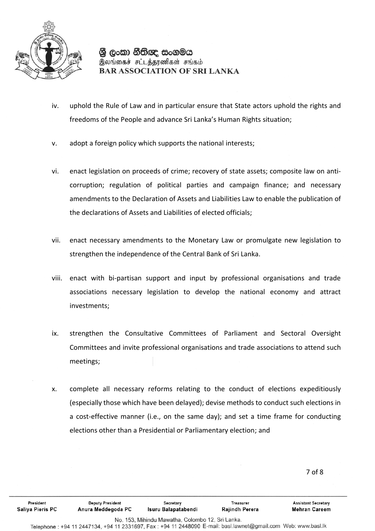

- iv. uphold the Rule of Law and in particular ensure that State actors uphold the rights and freedoms of the People and advance Sri Lanka's Human Rights situation;
- v. adopt a foreign policy which supports the national interests;
- vi. enact legislation on proceeds of crime; recovery of state assets; composite law on anticorruption; regulation of political parties and campaign finance; and necessary amendments to the Declaration of Assets and Liabilities Law to enable the publication of the declarations of Assets and Liabilities of elected officials;
- vii. enact necessary amendments to the Monetary Law or promulgate new legislation to strengthen the independence of the Central Bank of Sri Lanka.
- viii. enact with bi-partisan support and input by professional organisations and trade associations necessary legislation to develop the national economy and attract investments;
- ix. strengthen the Consultative Committees of Parliament and Sectoral Oversight Committees and invite professional organisations and trade associations to attend such meetings;
- x. complete all necessary reforms relating to the conduct of elections expeditiously (especially those which have been delayed); devise methods to conduct such elections in a cost-effective manner (i.e., on the same day); and set a time frame for conducting elections other than a Presidential or Parliamentary election; and

7

Telephone: +94 11 2447134, +94 11 2331697, Fax: +94 11 2448090 E-mail: basl.lawnet@gmail.com Web: www.basl.lk